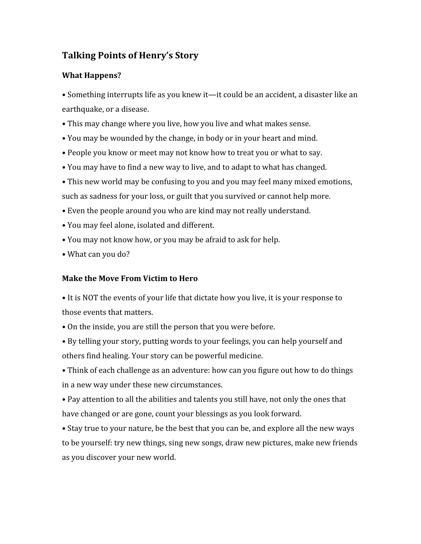# **Talking Points of Henry's Story**

### **What Happens?**

• Something interrupts life as you knew it—it could be an accident, a disaster like an earthquake, or a disease.

- This may change where you live, how you live and what makes sense.
- You may be wounded by the change, in body or in your heart and mind.
- People you know or meet may not know how to treat you or what to say.
- You may have to find a new way to live, and to adapt to what has changed.
- This new world may be confusing to you and you may feel many mixed emotions, such as sadness for your loss, or guilt that you survived or cannot help more.
- Even the people around you who are kind may not really understand.
- You may feel alone, isolated and different.
- You may not know how, or you may be afraid to ask for help.
- What can you do?

#### **Make the Move From Victim to Hero**

• It is NOT the events of your life that dictate how you live, it is your response to those events that matters.

- On the inside, you are still the person that you were before.
- By telling your story, putting words to your feelings, you can help yourself and others find healing. Your story can be powerful medicine.
- Think of each challenge as an adventure: how can you figure out how to do things in a new way under these new circumstances.

• Pay attention to all the abilities and talents you still have, not only the ones that have changed or are gone, count your blessings as you look forward.

• Stay true to your nature, be the best that you can be, and explore all the new ways to be yourself: try new things, sing new songs, draw new pictures, make new friends as you discover your new world.